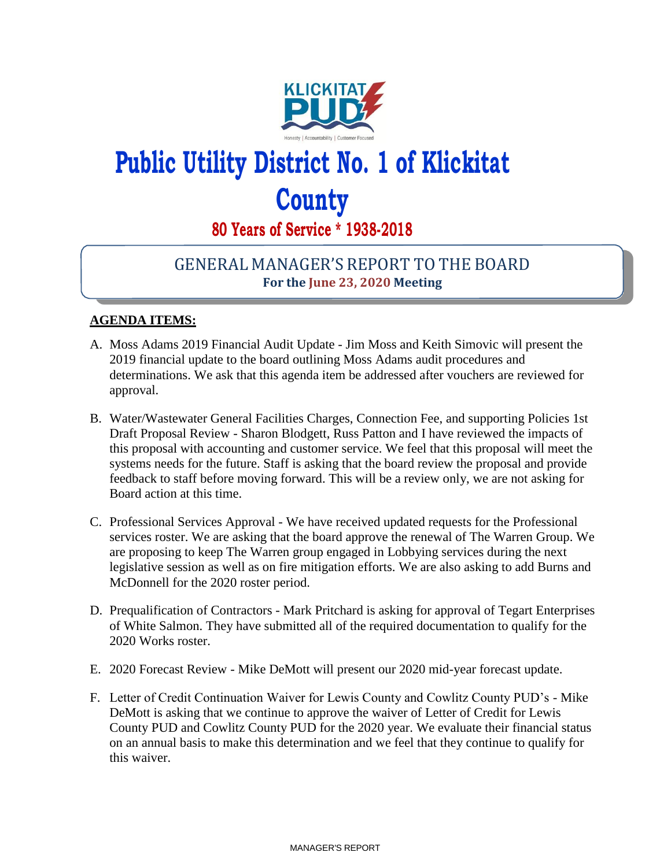

## **Public Utility District No. 1 of Klickitat County**

**80 Years of Service \* 1938-2018**

## GENERAL MANAGER'S REPORT TO THE BOARD **For the June 23, 2020 Meeting**

## **AGENDA ITEMS:**

- A. Moss Adams 2019 Financial Audit Update Jim Moss and Keith Simovic will present the 2019 financial update to the board outlining Moss Adams audit procedures and determinations. We ask that this agenda item be addressed after vouchers are reviewed for approval.
- B. Water/Wastewater General Facilities Charges, Connection Fee, and supporting Policies 1st Draft Proposal Review - Sharon Blodgett, Russ Patton and I have reviewed the impacts of this proposal with accounting and customer service. We feel that this proposal will meet the systems needs for the future. Staff is asking that the board review the proposal and provide feedback to staff before moving forward. This will be a review only, we are not asking for Board action at this time.
- C. Professional Services Approval We have received updated requests for the Professional services roster. We are asking that the board approve the renewal of The Warren Group. We are proposing to keep The Warren group engaged in Lobbying services during the next legislative session as well as on fire mitigation efforts. We are also asking to add Burns and McDonnell for the 2020 roster period.
- D. Prequalification of Contractors Mark Pritchard is asking for approval of Tegart Enterprises of White Salmon. They have submitted all of the required documentation to qualify for the 2020 Works roster.
- E. 2020 Forecast Review Mike DeMott will present our 2020 mid-year forecast update.
- F. Letter of Credit Continuation Waiver for Lewis County and Cowlitz County PUD's Mike DeMott is asking that we continue to approve the waiver of Letter of Credit for Lewis County PUD and Cowlitz County PUD for the 2020 year. We evaluate their financial status on an annual basis to make this determination and we feel that they continue to qualify for this waiver.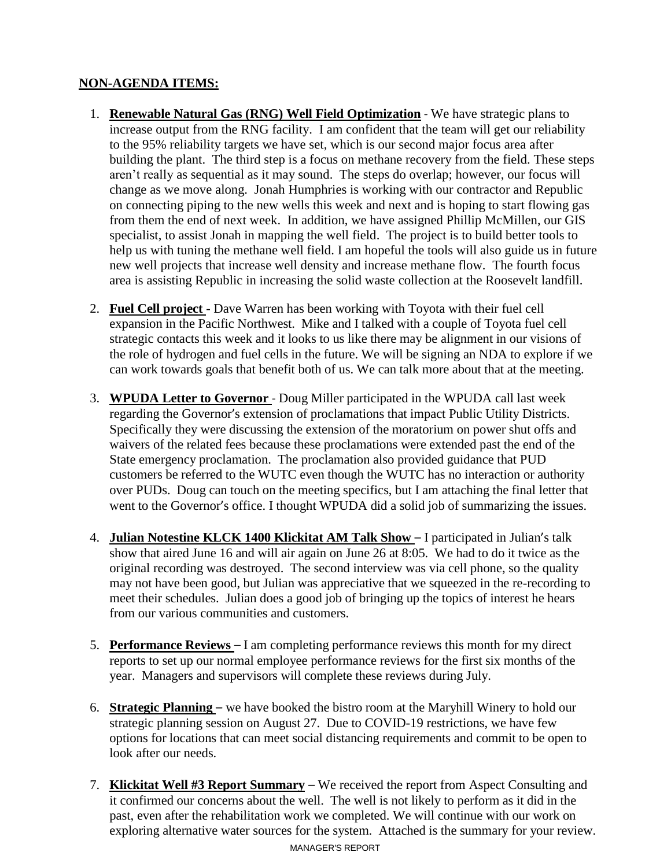## **NON-AGENDA ITEMS:**

- 1. **Renewable Natural Gas (RNG) Well Field Optimization** We have strategic plans to increase output from the RNG facility. I am confident that the team will get our reliability to the 95% reliability targets we have set, which is our second major focus area after building the plant. The third step is a focus on methane recovery from the field. These steps aren't really as sequential as it may sound. The steps do overlap; however, our focus will change as we move along. Jonah Humphries is working with our contractor and Republic on connecting piping to the new wells this week and next and is hoping to start flowing gas from them the end of next week. In addition, we have assigned Phillip McMillen, our GIS specialist, to assist Jonah in mapping the well field. The project is to build better tools to help us with tuning the methane well field. I am hopeful the tools will also guide us in future new well projects that increase well density and increase methane flow. The fourth focus area is assisting Republic in increasing the solid waste collection at the Roosevelt landfill.
- 2. **Fuel Cell project** Dave Warren has been working with Toyota with their fuel cell expansion in the Pacific Northwest. Mike and I talked with a couple of Toyota fuel cell strategic contacts this week and it looks to us like there may be alignment in our visions of the role of hydrogen and fuel cells in the future. We will be signing an NDA to explore if we can work towards goals that benefit both of us. We can talk more about that at the meeting.
- 3. **WPUDA Letter to Governor** Doug Miller participated in the WPUDA call last week regarding the Governor's extension of proclamations that impact Public Utility Districts. Specifically they were discussing the extension of the moratorium on power shut offs and waivers of the related fees because these proclamations were extended past the end of the State emergency proclamation. The proclamation also provided guidance that PUD customers be referred to the WUTC even though the WUTC has no interaction or authority over PUDs. Doug can touch on the meeting specifics, but I am attaching the final letter that went to the Governor's office. I thought WPUDA did a solid job of summarizing the issues.
- 4. **Julian Notestine KLCK 1400 Klickitat AM Talk Show** I participated in Julian's talk show that aired June 16 and will air again on June 26 at 8:05. We had to do it twice as the original recording was destroyed. The second interview was via cell phone, so the quality may not have been good, but Julian was appreciative that we squeezed in the re-recording to meet their schedules. Julian does a good job of bringing up the topics of interest he hears from our various communities and customers.
- 5. **Performance Reviews** I am completing performance reviews this month for my direct reports to set up our normal employee performance reviews for the first six months of the year. Managers and supervisors will complete these reviews during July.
- 6. **Strategic Planning** we have booked the bistro room at the Maryhill Winery to hold our strategic planning session on August 27. Due to COVID-19 restrictions, we have few options for locations that can meet social distancing requirements and commit to be open to look after our needs.
- MANAGER'S REPORT 7. **Klickitat Well #3 Report Summary** – We received the report from Aspect Consulting and it confirmed our concerns about the well. The well is not likely to perform as it did in the past, even after the rehabilitation work we completed. We will continue with our work on exploring alternative water sources for the system. Attached is the summary for your review.